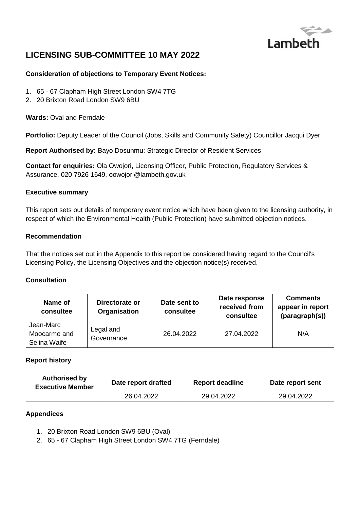

# **LICENSING SUB-COMMITTEE 10 MAY 2022**

### **Consideration of objections to Temporary Event Notices:**

- 1. 65 67 Clapham High Street London SW4 7TG
- 2. 20 Brixton Road London SW9 6BU

**Wards:** Oval and Ferndale

**Portfolio:** Deputy Leader of the Council (Jobs, Skills and Community Safety) Councillor Jacqui Dyer

**Report Authorised by:** Bayo Dosunmu: Strategic Director of Resident Services

**Contact for enquiries:** Ola Owojori, Licensing Officer, Public Protection, Regulatory Services & Assurance, 020 7926 1649, oowojori@lambeth.gov.uk

#### **Executive summary**

This report sets out details of temporary event notice which have been given to the licensing authority, in respect of which the Environmental Health (Public Protection) have submitted objection notices.

#### **Recommendation**

That the notices set out in the Appendix to this report be considered having regard to the Council's Licensing Policy, the Licensing Objectives and the objection notice(s) received.

#### **Consultation**

| Name of<br>consultee                      | Directorate or<br>Organisation | Date sent to<br>consultee | Date response<br>received from<br>consultee | <b>Comments</b><br>appear in report<br>(paragraph(s)) |
|-------------------------------------------|--------------------------------|---------------------------|---------------------------------------------|-------------------------------------------------------|
| Jean-Marc<br>Moocarme and<br>Selina Waife | Legal and<br>Governance        | 26.04.2022                | 27.04.2022                                  | N/A                                                   |

#### **Report history**

| <b>Authorised by</b><br><b>Executive Member</b> | Date report drafted | <b>Report deadline</b> | Date report sent |
|-------------------------------------------------|---------------------|------------------------|------------------|
|                                                 | 26.04.2022          | 29.04.2022             | 29.04.2022       |

#### **Appendices**

- 1. 20 Brixton Road London SW9 6BU (Oval)
- 2. 65 67 Clapham High Street London SW4 7TG (Ferndale)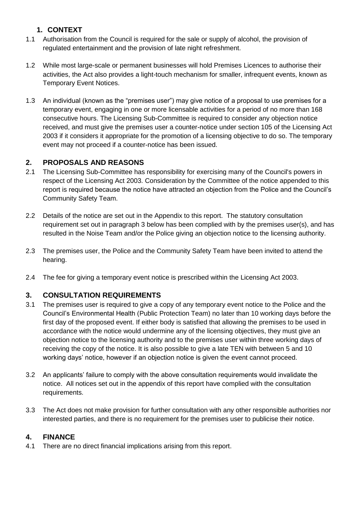# **1. CONTEXT**

- 1.1 Authorisation from the Council is required for the sale or supply of alcohol, the provision of regulated entertainment and the provision of late night refreshment.
- 1.2 While most large-scale or permanent businesses will hold Premises Licences to authorise their activities, the Act also provides a light-touch mechanism for smaller, infrequent events, known as Temporary Event Notices.
- 1.3 An individual (known as the "premises user") may give notice of a proposal to use premises for a temporary event, engaging in one or more licensable activities for a period of no more than 168 consecutive hours. The Licensing Sub-Committee is required to consider any objection notice received, and must give the premises user a counter-notice under section 105 of the Licensing Act 2003 if it considers it appropriate for the promotion of a licensing objective to do so. The temporary event may not proceed if a counter-notice has been issued.

# **2. PROPOSALS AND REASONS**

- 2.1 The Licensing Sub-Committee has responsibility for exercising many of the Council's powers in respect of the Licensing Act 2003. Consideration by the Committee of the notice appended to this report is required because the notice have attracted an objection from the Police and the Council's Community Safety Team.
- 2.2 Details of the notice are set out in the Appendix to this report. The statutory consultation requirement set out in paragraph 3 below has been complied with by the premises user(s), and has resulted in the Noise Team and/or the Police giving an objection notice to the licensing authority.
- 2.3 The premises user, the Police and the Community Safety Team have been invited to attend the hearing.
- 2.4 The fee for giving a temporary event notice is prescribed within the Licensing Act 2003.

# **3. CONSULTATION REQUIREMENTS**

- 3.1 The premises user is required to give a copy of any temporary event notice to the Police and the Council's Environmental Health (Public Protection Team) no later than 10 working days before the first day of the proposed event. If either body is satisfied that allowing the premises to be used in accordance with the notice would undermine any of the licensing objectives, they must give an objection notice to the licensing authority and to the premises user within three working days of receiving the copy of the notice. It is also possible to give a late TEN with between 5 and 10 working days' notice, however if an objection notice is given the event cannot proceed.
- 3.2 An applicants' failure to comply with the above consultation requirements would invalidate the notice. All notices set out in the appendix of this report have complied with the consultation requirements.
- 3.3 The Act does not make provision for further consultation with any other responsible authorities nor interested parties, and there is no requirement for the premises user to publicise their notice.

### **4. FINANCE**

4.1 There are no direct financial implications arising from this report.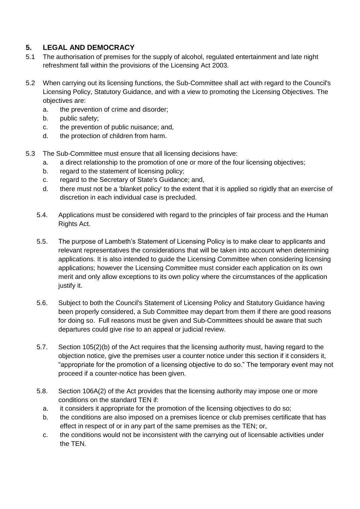# **5. LEGAL AND DEMOCRACY**

- 5.1 The authorisation of premises for the supply of alcohol, regulated entertainment and late night refreshment fall within the provisions of the Licensing Act 2003.
- 5.2 When carrying out its licensing functions, the Sub-Committee shall act with regard to the Council's Licensing Policy, Statutory Guidance, and with a view to promoting the Licensing Objectives. The objectives are:
	- a. the prevention of crime and disorder;
	- b. public safety;
	- c. the prevention of public nuisance; and,
	- d. the protection of children from harm.
- 5.3 The Sub-Committee must ensure that all licensing decisions have:
	- a. a direct relationship to the promotion of one or more of the four licensing objectives;
	- b. regard to the statement of licensing policy;
	- c. regard to the Secretary of State's Guidance; and,
	- d. there must not be a 'blanket policy' to the extent that it is applied so rigidly that an exercise of discretion in each individual case is precluded.
	- 5.4. Applications must be considered with regard to the principles of fair process and the Human Rights Act.
	- 5.5. The purpose of Lambeth's Statement of Licensing Policy is to make clear to applicants and relevant representatives the considerations that will be taken into account when determining applications. It is also intended to guide the Licensing Committee when considering licensing applications; however the Licensing Committee must consider each application on its own merit and only allow exceptions to its own policy where the circumstances of the application justify it.
	- 5.6. Subject to both the Council's Statement of Licensing Policy and Statutory Guidance having been properly considered, a Sub Committee may depart from them if there are good reasons for doing so. Full reasons must be given and Sub-Committees should be aware that such departures could give rise to an appeal or judicial review.
	- 5.7. Section 105(2)(b) of the Act requires that the licensing authority must, having regard to the objection notice, give the premises user a counter notice under this section if it considers it, "appropriate for the promotion of a licensing objective to do so." The temporary event may not proceed if a counter-notice has been given.
	- 5.8. Section 106A(2) of the Act provides that the licensing authority may impose one or more conditions on the standard TEN if:
		- a. it considers it appropriate for the promotion of the licensing objectives to do so;
		- b. the conditions are also imposed on a premises licence or club premises certificate that has effect in respect of or in any part of the same premises as the TEN; or,
		- c. the conditions would not be inconsistent with the carrying out of licensable activities under the TEN.